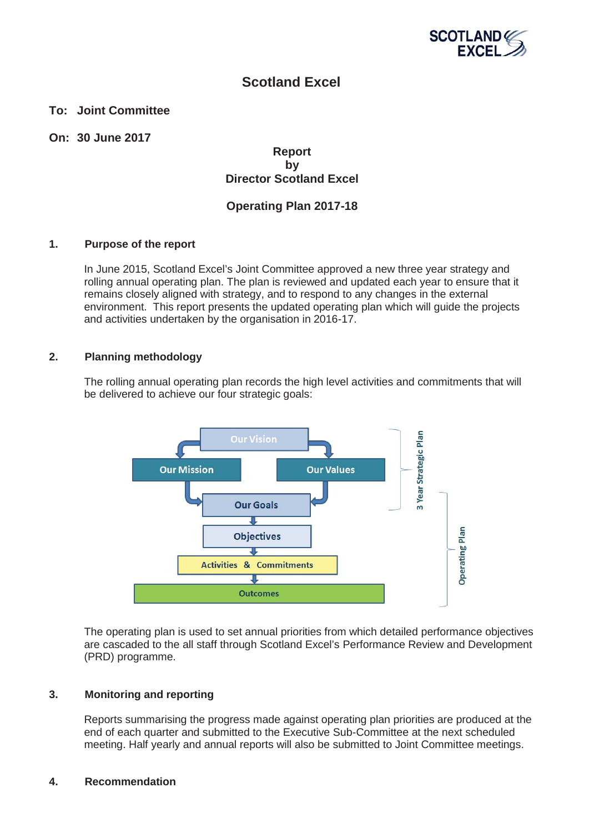

### **Scotland Excel**

### **To: Joint Committee**

### **On: 30 June 2017**

### **Report by Director Scotland Excel**

### **Operating Plan 2017-18**

### **1. Purpose of the report**

In June 2015, Scotland Excel's Joint Committee approved a new three year strategy and rolling annual operating plan. The plan is reviewed and updated each year to ensure that it remains closely aligned with strategy, and to respond to any changes in the external environment. This report presents the updated operating plan which will guide the projects and activities undertaken by the organisation in 2016-17.

### **2. Planning methodology**

The rolling annual operating plan records the high level activities and commitments that will be delivered to achieve our four strategic goals:



The operating plan is used to set annual priorities from which detailed performance objectives are cascaded to the all staff through Scotland Excel's Performance Review and Development (PRD) programme.

### **3. Monitoring and reporting**

Reports summarising the progress made against operating plan priorities are produced at the end of each quarter and submitted to the Executive Sub-Committee at the next scheduled meeting. Half yearly and annual reports will also be submitted to Joint Committee meetings.

### **4. Recommendation**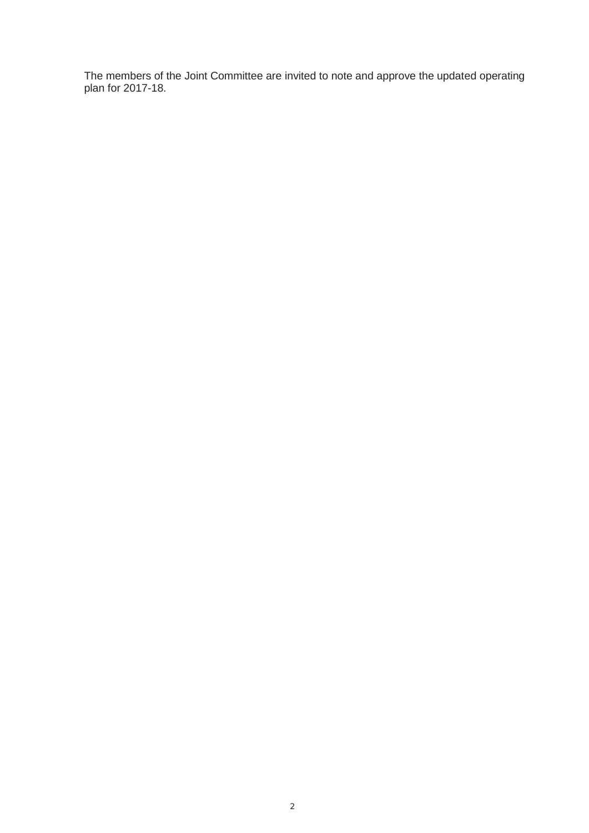The members of the Joint Committee are invited to note and approve the updated operating plan for 2017-18.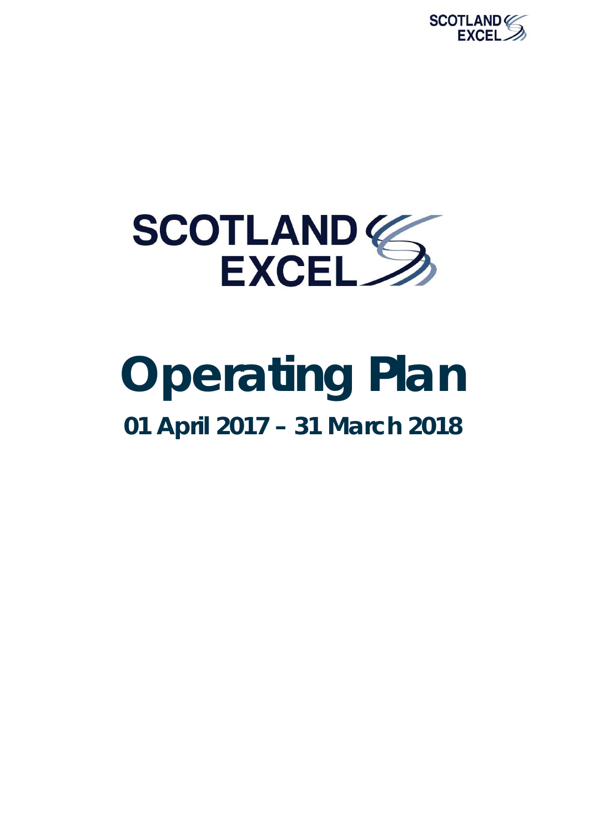



### **Operating Plan 01 April 2017 – 31 March 2018**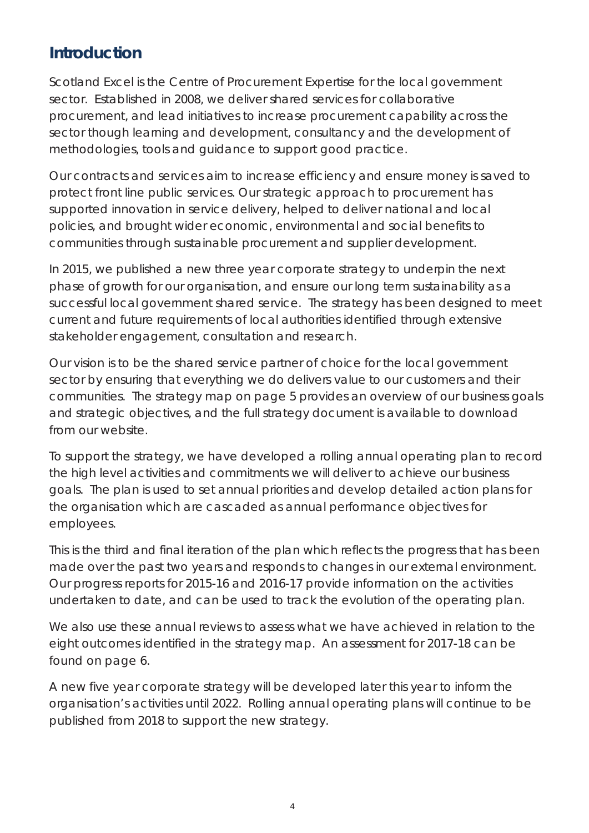### **Introduction**

Scotland Excel is the Centre of Procurement Expertise for the local government sector. Established in 2008, we deliver shared services for collaborative procurement, and lead initiatives to increase procurement capability across the sector though learning and development, consultancy and the development of methodologies, tools and guidance to support good practice.

Our contracts and services aim to increase efficiency and ensure money is saved to protect front line public services. Our strategic approach to procurement has supported innovation in service delivery, helped to deliver national and local policies, and brought wider economic, environmental and social benefits to communities through sustainable procurement and supplier development.

In 2015, we published a new three year corporate strategy to underpin the next phase of growth for our organisation, and ensure our long term sustainability as a successful local government shared service. The strategy has been designed to meet current and future requirements of local authorities identified through extensive stakeholder engagement, consultation and research.

Our vision is to be the shared service partner of choice for the local government sector by ensuring that everything we do delivers value to our customers and their communities. The strategy map on page 5 provides an overview of our business goals and strategic objectives, and the full strategy document is available to download from our website.

To support the strategy, we have developed a rolling annual operating plan to record the high level activities and commitments we will deliver to achieve our business goals. The plan is used to set annual priorities and develop detailed action plans for the organisation which are cascaded as annual performance objectives for employees.

This is the third and final iteration of the plan which reflects the progress that has been made over the past two years and responds to changes in our external environment. Our progress reports for 2015-16 and 2016-17 provide information on the activities undertaken to date, and can be used to track the evolution of the operating plan.

We also use these annual reviews to assess what we have achieved in relation to the eight outcomes identified in the strategy map. An assessment for 2017-18 can be found on page 6.

A new five year corporate strategy will be developed later this year to inform the organisation's activities until 2022. Rolling annual operating plans will continue to be published from 2018 to support the new strategy.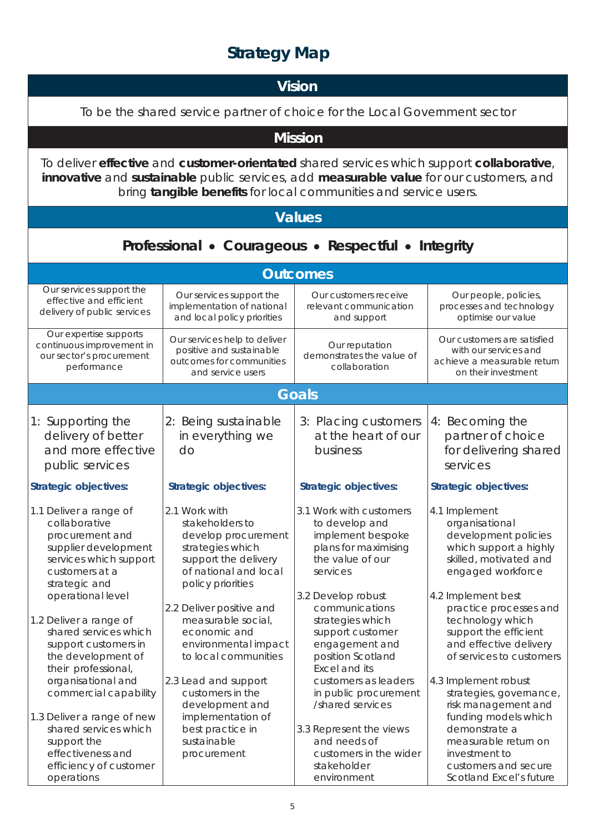### **Strategy Map**

### **Vision**

To be the shared service partner of choice for the Local Government sector

**Mission** 

To deliver **effective** and **customer-orientated** shared services which support **collaborative**, **innovative** and **sustainable** public services, add **measurable value** for our customers, and bring **tangible benefits** for local communities and service users.

### **Values**

### **Professional • Courageous • Respectful • Integrity**

|                                                                                                                                                                      |                                                                                                                                                                               | <b>Outcomes</b>                                                                                                                                                   |                                                                                                                                                                                  |
|----------------------------------------------------------------------------------------------------------------------------------------------------------------------|-------------------------------------------------------------------------------------------------------------------------------------------------------------------------------|-------------------------------------------------------------------------------------------------------------------------------------------------------------------|----------------------------------------------------------------------------------------------------------------------------------------------------------------------------------|
| Our services support the<br>effective and efficient<br>delivery of public services                                                                                   | Our services support the<br>implementation of national<br>and local policy priorities                                                                                         | Our customers receive<br>relevant communication<br>and support                                                                                                    | Our people, policies,<br>processes and technology<br>optimise our value                                                                                                          |
| Our expertise supports<br>continuous improvement in<br>our sector's procurement<br>performance                                                                       | Our services help to deliver<br>positive and sustainable<br>outcomes for communities<br>and service users                                                                     | Our reputation<br>demonstrates the value of<br>collaboration                                                                                                      | Our customers are satisfied<br>with our services and<br>achieve a measurable return<br>on their investment                                                                       |
|                                                                                                                                                                      |                                                                                                                                                                               | <b>Goals</b>                                                                                                                                                      |                                                                                                                                                                                  |
| 1: Supporting the<br>delivery of better<br>and more effective<br>public services                                                                                     | 2: Being sustainable<br>in everything we<br>do                                                                                                                                | 3: Placing customers<br>at the heart of our<br>business                                                                                                           | 4: Becoming the<br>partner of choice<br>for delivering shared<br>services                                                                                                        |
| <b>Strategic objectives:</b>                                                                                                                                         | <b>Strategic objectives:</b>                                                                                                                                                  | <b>Strategic objectives:</b>                                                                                                                                      | Strategic objectives:                                                                                                                                                            |
| 1.1 Deliver a range of<br>collaborative<br>procurement and<br>supplier development<br>services which support<br>customers at a<br>strategic and<br>operational level | 2.1 Work with<br>stakeholders to<br>develop procurement<br>strategies which<br>support the delivery<br>of national and local<br>policy priorities<br>2.2 Deliver positive and | 3.1 Work with customers<br>to develop and<br>implement bespoke<br>plans for maximising<br>the value of our<br>services<br>3.2 Develop robust<br>communications    | 4.1 Implement<br>organisational<br>development policies<br>which support a highly<br>skilled, motivated and<br>engaged workforce<br>4.2 Implement best<br>practice processes and |
| 1.2 Deliver a range of<br>shared services which<br>support customers in<br>the development of<br>their professional,<br>organisational and<br>commercial capability  | measurable social,<br>economic and<br>environmental impact<br>to local communities<br>2.3 Lead and support<br>customers in the<br>development and                             | strategies which<br>support customer<br>engagement and<br>position Scotland<br>Excel and its<br>customers as leaders<br>in public procurement<br>/shared services | technology which<br>support the efficient<br>and effective delivery<br>of services to customers<br>4.3 Implement robust<br>strategies, governance,<br>risk management and        |
| 1.3 Deliver a range of new<br>shared services which<br>support the<br>effectiveness and<br>efficiency of customer<br>operations                                      | implementation of<br>best practice in<br>sustainable<br>procurement                                                                                                           | 3.3 Represent the views<br>and needs of<br>customers in the wider<br>stakeholder<br>environment                                                                   | funding models which<br>demonstrate a<br>measurable return on<br>investment to<br>customers and secure<br>Scotland Excel's future                                                |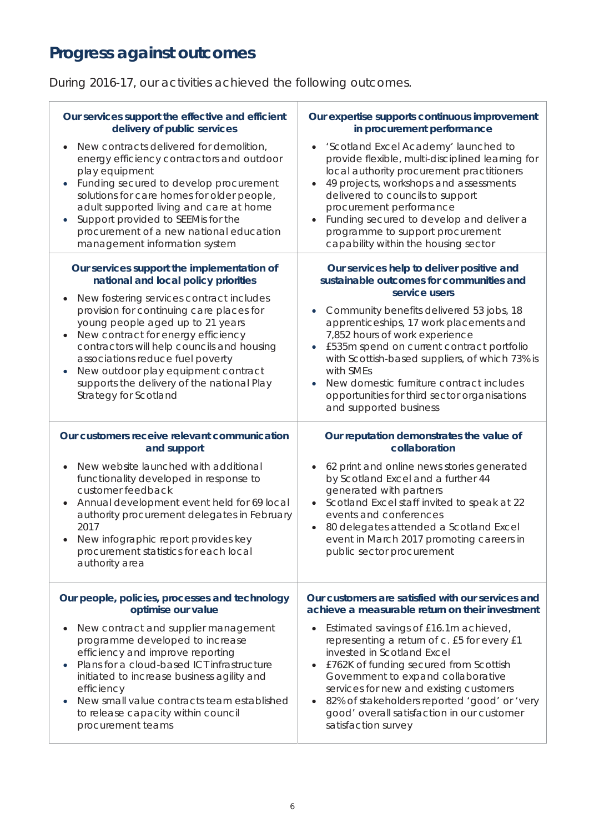### **Progress against outcomes**

During 2016-17, our activities achieved the following outcomes.

| Our services support the effective and efficient<br>delivery of public services                                                                                                                                                                                                                                                                                                                                                                      | Our expertise supports continuous improvement<br>in procurement performance                                                                                                                                                                                                                                                                                                                                                                                                                                       |
|------------------------------------------------------------------------------------------------------------------------------------------------------------------------------------------------------------------------------------------------------------------------------------------------------------------------------------------------------------------------------------------------------------------------------------------------------|-------------------------------------------------------------------------------------------------------------------------------------------------------------------------------------------------------------------------------------------------------------------------------------------------------------------------------------------------------------------------------------------------------------------------------------------------------------------------------------------------------------------|
| New contracts delivered for demolition,<br>energy efficiency contractors and outdoor<br>play equipment<br>Funding secured to develop procurement<br>solutions for care homes for older people,<br>adult supported living and care at home<br>Support provided to SEEMis for the<br>procurement of a new national education<br>management information system                                                                                          | 'Scotland Excel Academy' launched to<br>$\bullet$<br>provide flexible, multi-disciplined learning for<br>local authority procurement practitioners<br>49 projects, workshops and assessments<br>$\bullet$<br>delivered to councils to support<br>procurement performance<br>Funding secured to develop and deliver a<br>$\bullet$<br>programme to support procurement<br>capability within the housing sector                                                                                                     |
| Our services support the implementation of<br>national and local policy priorities<br>New fostering services contract includes<br>provision for continuing care places for<br>young people aged up to 21 years<br>New contract for energy efficiency<br>contractors will help councils and housing<br>associations reduce fuel poverty<br>New outdoor play equipment contract<br>supports the delivery of the national Play<br>Strategy for Scotland | Our services help to deliver positive and<br>sustainable outcomes for communities and<br>service users<br>Community benefits delivered 53 jobs, 18<br>$\bullet$<br>apprenticeships, 17 work placements and<br>7,852 hours of work experience<br>£535m spend on current contract portfolio<br>with Scottish-based suppliers, of which 73% is<br>with SMEs<br>New domestic furniture contract includes<br>opportunities for third sector organisations<br>and supported business                                    |
| Our customers receive relevant communication<br>and support<br>New website launched with additional<br>functionality developed in response to<br>customer feedback<br>Annual development event held for 69 local<br>authority procurement delegates in February<br>2017<br>New infographic report provides key<br>procurement statistics for each local<br>authority area                                                                            | Our reputation demonstrates the value of<br>collaboration<br>62 print and online news stories generated<br>by Scotland Excel and a further 44<br>generated with partners<br>Scotland Excel staff invited to speak at 22<br>$\bullet$<br>events and conferences<br>80 delegates attended a Scotland Excel<br>$\bullet$<br>event in March 2017 promoting careers in<br>public sector procurement                                                                                                                    |
| Our people, policies, processes and technology<br>optimise our value<br>New contract and supplier management<br>programme developed to increase<br>efficiency and improve reporting<br>Plans for a cloud-based ICT infrastructure<br>initiated to increase business agility and<br>efficiency<br>New small value contracts team established<br>to release capacity within council<br>procurement teams                                               | Our customers are satisfied with our services and<br>achieve a measurable return on their investment<br>Estimated savings of £16.1m achieved,<br>$\bullet$<br>representing a return of c. £5 for every £1<br>invested in Scotland Excel<br>£762K of funding secured from Scottish<br>$\bullet$<br>Government to expand collaborative<br>services for new and existing customers<br>82% of stakeholders reported 'good' or 'very<br>$\bullet$<br>good' overall satisfaction in our customer<br>satisfaction survey |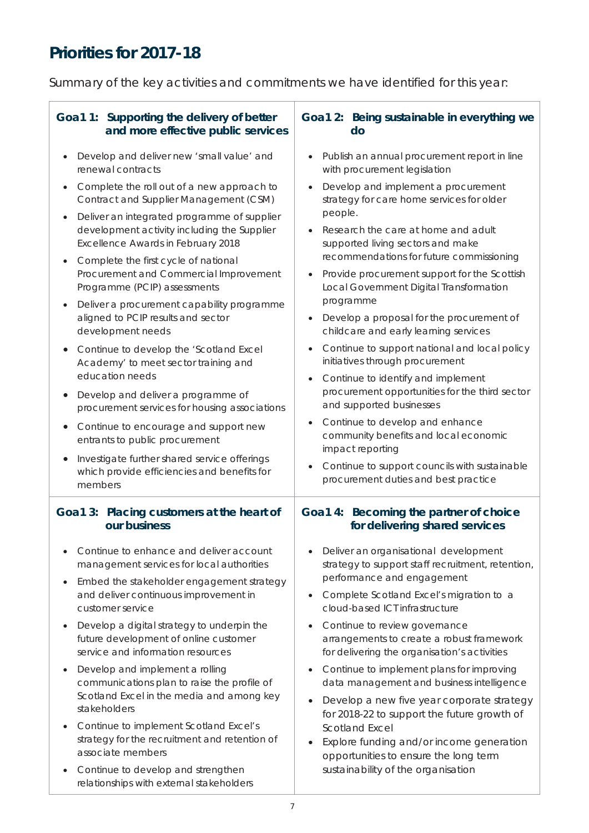### **Priorities for 2017-18**

Summary of the key activities and commitments we have identified for this year:

| do                                                                                                                                                                                                                                                                                                                                                                                                                                                                                                                                                                                                                                                                                                                                                                                                                                           |
|----------------------------------------------------------------------------------------------------------------------------------------------------------------------------------------------------------------------------------------------------------------------------------------------------------------------------------------------------------------------------------------------------------------------------------------------------------------------------------------------------------------------------------------------------------------------------------------------------------------------------------------------------------------------------------------------------------------------------------------------------------------------------------------------------------------------------------------------|
| Publish an annual procurement report in line<br>with procurement legislation                                                                                                                                                                                                                                                                                                                                                                                                                                                                                                                                                                                                                                                                                                                                                                 |
| Develop and implement a procurement<br>strategy for care home services for older<br>people.<br>Research the care at home and adult<br>supported living sectors and make<br>recommendations for future commissioning<br>Provide procurement support for the Scottish<br>Local Government Digital Transformation<br>programme<br>Develop a proposal for the procurement of<br>$\bullet$<br>childcare and early learning services<br>Continue to support national and local policy<br>initiatives through procurement<br>Continue to identify and implement<br>procurement opportunities for the third sector<br>and supported businesses<br>Continue to develop and enhance<br>community benefits and local economic<br>impact reporting<br>Continue to support councils with sustainable<br>$\bullet$<br>procurement duties and best practice |
| Goa1 4: Becoming the partner of choice<br>for delivering shared services                                                                                                                                                                                                                                                                                                                                                                                                                                                                                                                                                                                                                                                                                                                                                                     |
| Deliver an organisational development<br>strategy to support staff recruitment, retention,<br>performance and engagement<br>Complete Scotland Excel's migration to a<br>$\bullet$<br>cloud-based ICT infrastructure<br>Continue to review governance<br>$\bullet$<br>arrangements to create a robust framework<br>for delivering the organisation's activities<br>Continue to implement plans for improving<br>$\bullet$<br>data management and business intelligence<br>Develop a new five year corporate strategy<br>for 2018-22 to support the future growth of<br><b>Scotland Excel</b><br>Explore funding and/or income generation<br>opportunities to ensure the long term<br>sustainability of the organisation                                                                                                                       |
|                                                                                                                                                                                                                                                                                                                                                                                                                                                                                                                                                                                                                                                                                                                                                                                                                                              |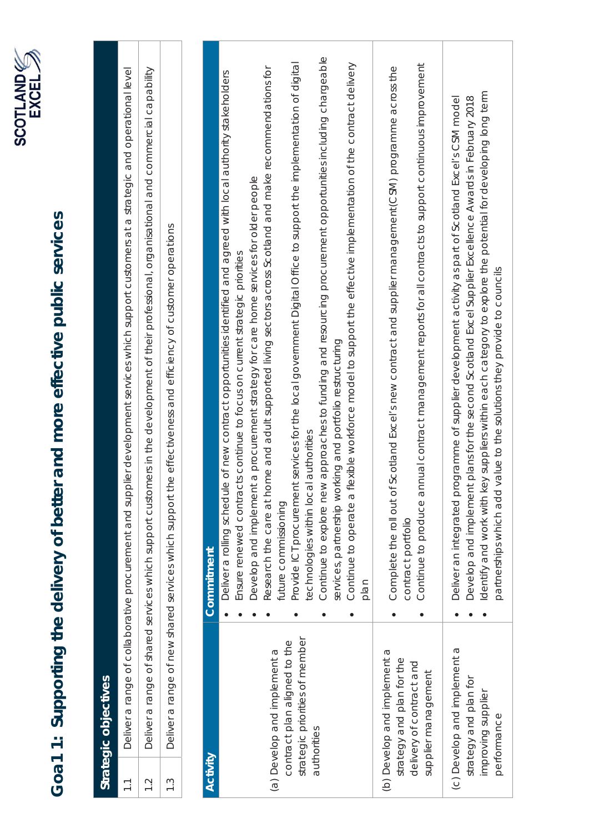

# Goa1 1: Supporting the delivery of better and more effective public services **Goa1 1: Supporting the delivery of better and more effective public services**

**Strategic objectives** 

Strategic objectives

| $\overline{\phantom{0}}$ |                                                                                                              | Deliver a range of collaborative procurement and supplier development services which support customers at a strategic and operational level                                                                                                                                                                                                                                                                                                                                                                                                                                                                                                                                                                                                                                                                                                                                                                 |
|--------------------------|--------------------------------------------------------------------------------------------------------------|-------------------------------------------------------------------------------------------------------------------------------------------------------------------------------------------------------------------------------------------------------------------------------------------------------------------------------------------------------------------------------------------------------------------------------------------------------------------------------------------------------------------------------------------------------------------------------------------------------------------------------------------------------------------------------------------------------------------------------------------------------------------------------------------------------------------------------------------------------------------------------------------------------------|
| 1.2                      |                                                                                                              | Deliver a range of shared services which support customers in the development of their professional, organisational and commercial capability                                                                                                                                                                                                                                                                                                                                                                                                                                                                                                                                                                                                                                                                                                                                                               |
| $\frac{3}{1}$            |                                                                                                              | e effectiveness and efficiency of customer operations<br>Deliver a range of new shared services which support th                                                                                                                                                                                                                                                                                                                                                                                                                                                                                                                                                                                                                                                                                                                                                                                            |
|                          |                                                                                                              |                                                                                                                                                                                                                                                                                                                                                                                                                                                                                                                                                                                                                                                                                                                                                                                                                                                                                                             |
| <b>Activity</b>          |                                                                                                              | Commitment                                                                                                                                                                                                                                                                                                                                                                                                                                                                                                                                                                                                                                                                                                                                                                                                                                                                                                  |
|                          | strategic priorities of member<br>contract plan aligned to the<br>(a) Develop and implement a<br>authorities | approaches to funding and resourcing procurement opportunities including chargeable<br>services for the local government Digital Office to support the implementation of digital<br>Continue to operate a flexible workforce model to support the effective implementation of the contract delivery<br>Research the care at home and adult supported living sectors across Scotland and make recommendations for<br>Deliver a rolling schedule of new contract opportunities identified and agreed with local authority stakeholders<br>a procurement strategy for care home services for older people<br>Ensure renewed contracts continue to focus on current strategic priorities<br>services, partnership working and portfolio restructuring<br>authorities<br>Develop and implement<br>Provide ICT procurement<br>technologies within loca<br>Continue to explore new<br>future commissioning<br>plan |
|                          | (b) Develop and implement a<br>strategy and plan for the<br>delivery of contract and<br>supplier management  | Continue to produce annual contract management reports for all contracts to support continuous improvement<br>Complete the roll out of Scotland Excel's new contract and supplier management(CSM) programme across the<br>contract portfolio                                                                                                                                                                                                                                                                                                                                                                                                                                                                                                                                                                                                                                                                |
|                          | (c) Develop and implement a<br>strategy and plan for<br>improving supplier<br>performance                    | Identify and work with key suppliers within each category to explore the potential for developing long term<br>plans for the second Scotland Excel Supplier Excellence Awards in February 2018<br>Deliver an integrated programme of supplier development activity as part of Scotland Excel's CSM model<br>partnerships which add value to the solutions they provide to councils<br>Develop and implement                                                                                                                                                                                                                                                                                                                                                                                                                                                                                                 |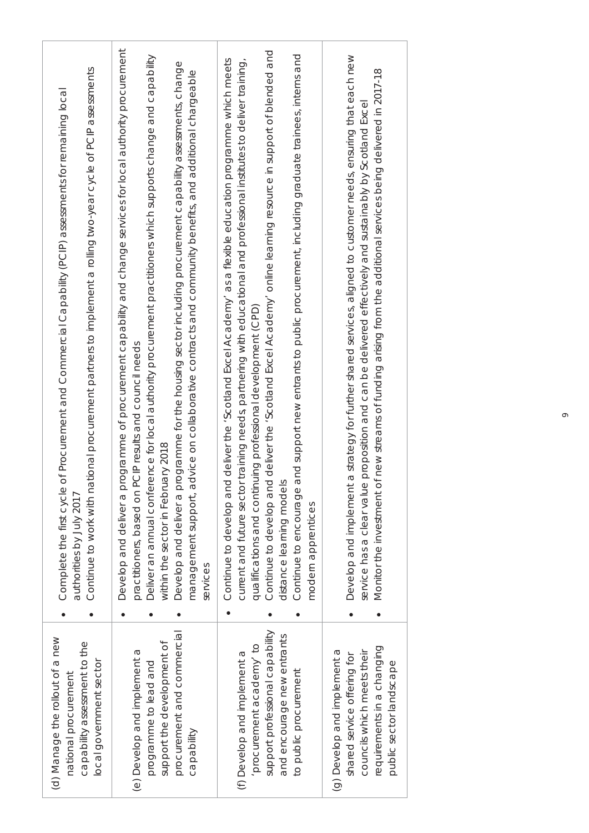| (d) Manage the rollout of a new<br>capability assessment to the<br>local government sector<br>national procurement                                | Continue to work with national procurement partners to implement a rolling two-year cycle of PCIP assessments<br>of Procurement and Commercial Capability (PCIP) assessments for remaining local<br>Complete the first cycle<br>authorities by July 2017                                                                                                                                                                                                                                                                                                                                          |
|---------------------------------------------------------------------------------------------------------------------------------------------------|---------------------------------------------------------------------------------------------------------------------------------------------------------------------------------------------------------------------------------------------------------------------------------------------------------------------------------------------------------------------------------------------------------------------------------------------------------------------------------------------------------------------------------------------------------------------------------------------------|
| procurement and commercial<br>support the development of<br>(e) Develop and implement a<br>programme to lead and<br>capability                    | rogramme of procurement capability and change services for local authority procurement<br>ence for local authority procurement practitioners which supports change and capability<br>ogramme for the housing sector including procurement capability assessments, change<br>dvice on collaborative contracts and community benefits, and additional chargeable<br>practitioners, based on PCIP results and council needs<br>ary 2018<br>Develop and deliver a pr<br>Deliver an annual confer<br>within the sector in Febru<br>Develop and deliver a pr<br>management support, a<br>services       |
| support professional capability<br>and encourage new entrants<br>procurement academy' to<br>(f) Develop and implement a<br>to public procurement  | Continue to develop and deliver the 'Scotland Excel Academy' online learning resource in support of blended and<br>and support new entrants to public procurement, including graduate trainees, interns and<br>Continue to develop and deliver the 'Scotland Excel Academy' as a flexible education programme which meets<br>training needs, partnering with educational and professional institutes to deliver training,<br>qualifications and continuing professional development (CPD)<br>current and future sector<br>distance learning models<br>Continue to encourage<br>modern apprentices |
| requirements in a changing<br>(g) Develop and implement a<br>councils which meets their<br>shared service offering for<br>public sector landscape | strategy for further shared services, aligned to customer needs, ensuring that each new<br>Monitor the investment of new streams of funding from the additional services being delivered in 2017-18<br>proposition and can be delivered effectively and sustainably by Scotland Excel<br>$\sigma$<br>Develop and implement<br>service has a clear value                                                                                                                                                                                                                                           |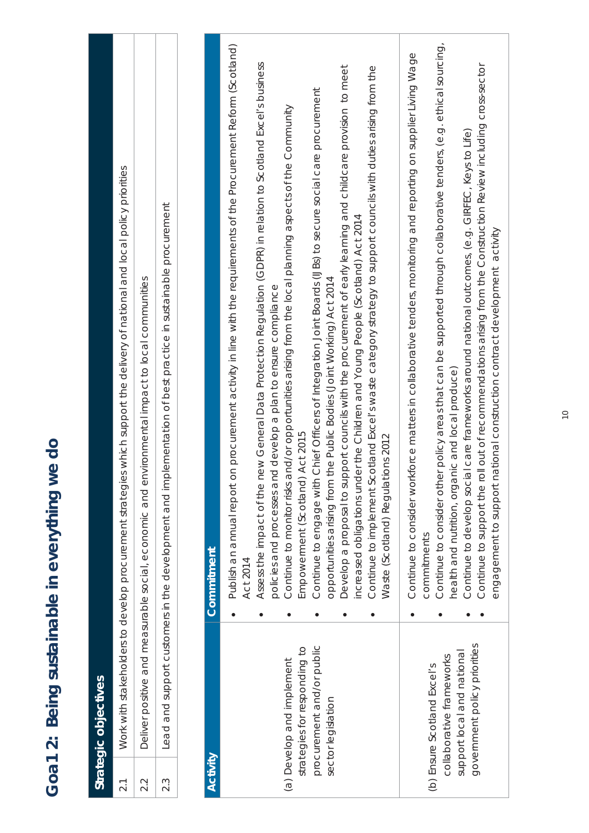|          | Strategic objectives                                       |                                                                                                                                                                                                                                                                                                                                       |
|----------|------------------------------------------------------------|---------------------------------------------------------------------------------------------------------------------------------------------------------------------------------------------------------------------------------------------------------------------------------------------------------------------------------------|
| 2.1      |                                                            | es which support the delivery of national and local policy priorities<br>Work with stakeholders to develop procurement strategi                                                                                                                                                                                                       |
| 2.2      |                                                            | Deliver positive and measurable social, economic and environmental impact to local communities                                                                                                                                                                                                                                        |
| 2.3      |                                                            | Lead and support customers in the development and implementation of best practice in sustainable procurement                                                                                                                                                                                                                          |
|          |                                                            |                                                                                                                                                                                                                                                                                                                                       |
| Activity |                                                            | Commitment                                                                                                                                                                                                                                                                                                                            |
|          |                                                            | on procurement activity in line with the requirements of the Procurement Reform (Scotland)<br>new General Data Protection Regulation (GDPR) in relation to Scotland Excel's business<br>nd develop a plan to ensure compliance<br>Publish an annual report<br>Assess the impact of the<br>policies and processes a<br><b>Act 2014</b> |
|          | strategies for responding to<br>(a) Develop and implement  | and/or opportunities arising from the local planning aspects of the Community<br>Empowerment (Scotland) Act 2015<br>Continue to monitor risks                                                                                                                                                                                         |
|          | procurement and/or public<br>sector legislation            | Continue to engage with Chief Officers of Integration Joint Boards (UBs) to secure social care procurement<br>opportunities arising from the Public Bodies (Joint Working) Act 2014                                                                                                                                                   |
|          |                                                            | Develop a proposal to support councils with the procurement of early learning and childcare provision to meet<br>increased obligations under the Children and Young People (Scotland) Act 2014                                                                                                                                        |
|          |                                                            | Continue to implement Scotland Excel's waste category strategy to support councils with duties arising from the<br>Waste (Scotland) Regulations 2012                                                                                                                                                                                  |
|          |                                                            | Continue to consider workforce matters in collaborative tenders, monitoring and reporting on supplier Living Wage<br>commitments                                                                                                                                                                                                      |
|          | collaborative frameworks<br>(b) Ensure Scotland Excel's    | Continue to consider other policy areas that can be supported through collaborative tenders, (e.g. ethical sourcing,<br>health and nutrition, organic and local produce)                                                                                                                                                              |
|          | government policy priorities<br>support local and national | roll out of recommendations arising from the Construction Review including cross-sector<br>Continue to develop social care frameworks around national outcomes, (e.g. GIRFEC, Keys to Life)<br>national construction contract development activity<br>engagement to support<br>Continue to support the                                |
|          |                                                            |                                                                                                                                                                                                                                                                                                                                       |

### Goa1 2: Being sustainable in everything we do **Goa1 2: Being sustainable in everything we do**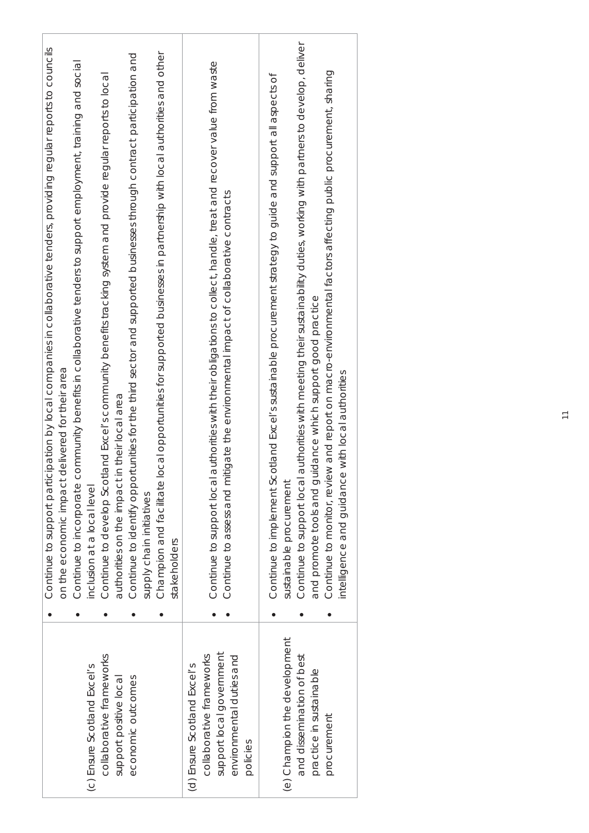|                                                                                                                             | Continue to support participation by local companies in collaborative tenders, providing regular reports to councils                                                                                       |
|-----------------------------------------------------------------------------------------------------------------------------|------------------------------------------------------------------------------------------------------------------------------------------------------------------------------------------------------------|
|                                                                                                                             | on the economic impact delivered for their area                                                                                                                                                            |
|                                                                                                                             | ommunity benefits in collaborative tenders to support employment, training and social<br>Continue to incorporate c                                                                                         |
| (c) Ensure Scotland Excel's                                                                                                 | inclusion at a local level                                                                                                                                                                                 |
| collaborative frameworks                                                                                                    | land Excel's community benefits tracking system and provide regular reports to local<br>Continue to develop Scotl                                                                                          |
| support positive local                                                                                                      | n their local area<br>authorities on the impact                                                                                                                                                            |
| economic outcomes                                                                                                           | Continue to identify opportunities for the third sector and supported businesses through contract participation and                                                                                        |
|                                                                                                                             | supply chain initiatives                                                                                                                                                                                   |
|                                                                                                                             | Champion and facilitate local opportunities for supported businesses in partnership with local authorities and other<br>stakeholders                                                                       |
| support local government<br>environmental duties and<br>collaborative frameworks<br>(d) Ensure Scotland Excel's<br>policies | Continue to support local authorities with their obligations to collect, handle, treat and recover value from waste<br>Continue to assess and mitigate the environmental impact of collaborative contracts |
|                                                                                                                             |                                                                                                                                                                                                            |
| (e) Champion the development                                                                                                | otland Excel's sustainable procurement strategy to guide and support all aspects of<br>Continue to implement Sc<br>sustainable procurement                                                                 |
| and dissemination of best                                                                                                   | authorities with meeting their sustainability duties, working with partners to develop, deliver<br>Continue to support local                                                                               |
| practice in sustainable<br>procurement                                                                                      | Continue to monitor, review and report on macro-environmental factors affecting public procurement, sharing<br>and promote tools and guidance which support good practice                                  |
|                                                                                                                             | intelligence and guidance with local authorities                                                                                                                                                           |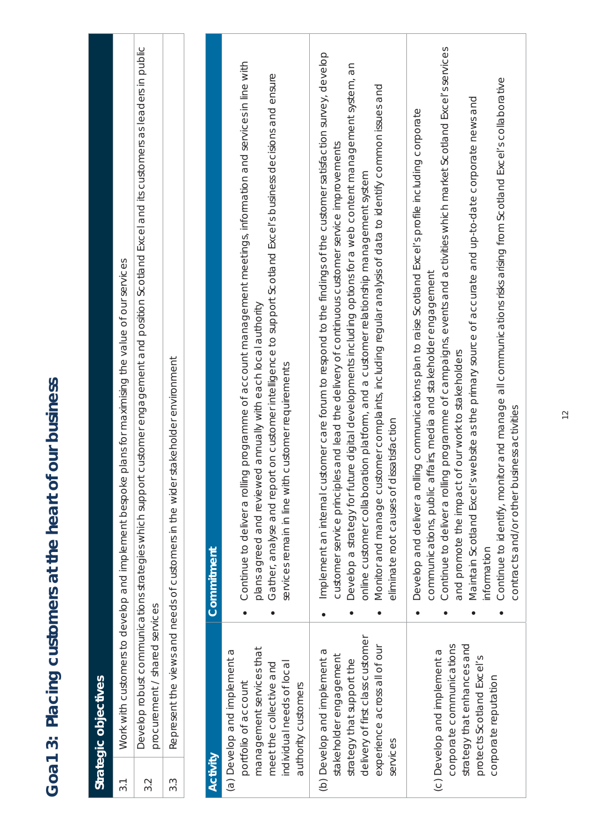| 3.1      |                                                                                                         | rt customer engagement and position Scotland Excel and its customers as leaders in public<br>Work with customers to develop and implement bespoke plans for maximising the value of our services<br>Develop robust communications strategies which suppo |
|----------|---------------------------------------------------------------------------------------------------------|----------------------------------------------------------------------------------------------------------------------------------------------------------------------------------------------------------------------------------------------------------|
| 3.2      | procurement / shared services                                                                           |                                                                                                                                                                                                                                                          |
| 3.3      |                                                                                                         | Represent the views and needs of customers in the wider stakeholder environment                                                                                                                                                                          |
|          |                                                                                                         |                                                                                                                                                                                                                                                          |
| Activity |                                                                                                         | Commitment                                                                                                                                                                                                                                               |
|          | (a) Develop and implement a<br>portfolio of account                                                     | Continue to deliver a rolling programme of account management meetings, information and services in line with                                                                                                                                            |
|          | management services that<br>meet the collective and<br>individual needs of local<br>authority customers | Gather, analyse and report on customer intelligence to support Scotland Excel's business decisions and ensure<br>plans agreed and reviewed annually with each local authority<br>services remain in line with customer requirements                      |
|          | (b) Develop and implement a                                                                             | istomer care forum to respond to the findings of the customer satisfaction survey, develop<br>Implement an internal cu                                                                                                                                   |
|          | stakeholder engagement<br>strategy that support the                                                     | customer service principles and lead the delivery of continuous customer service improvements                                                                                                                                                            |
|          | delivery of first class customer                                                                        | Develop a strategy for future digital developments including options for a web content management system, an<br>online customer collaboration platform, and a customer relationship management system                                                    |
| services | experience across all of our                                                                            | Monitor and manage customer complaints, including regular analysis of data to identify common issues and<br>eliminate root causes of dissatisfaction                                                                                                     |
|          |                                                                                                         | Develop and deliver a rolling communications plan to raise Scotland Excel's profile including corporate<br>communications, public affairs, media and stakeholder engagement                                                                              |
|          | corporate communications<br>(c) Develop and implement a                                                 | Continue to deliver a rolling programme of campaigns, events and activities which market Scotland Excel's services<br>and promote the impact of our work to stakeholders                                                                                 |
|          | strategy that enhances and<br>protects Scotland Excel's                                                 | Maintain Scotland Excel's website as the primary source of accurate and up-to-date corporate news and<br>nformation                                                                                                                                      |
|          | corporate reputation                                                                                    | Continue to identify, monitor and manage all communications risks arising from Scotland Excel's collaborative<br>usiness activities<br>contracts and/or other b                                                                                          |
|          |                                                                                                         |                                                                                                                                                                                                                                                          |

## Goa1 3: Placing customers at the heart of our business **Goa1 3: Placing customers at the heart of our business**

**Strategic objectives** 

Strategic objectives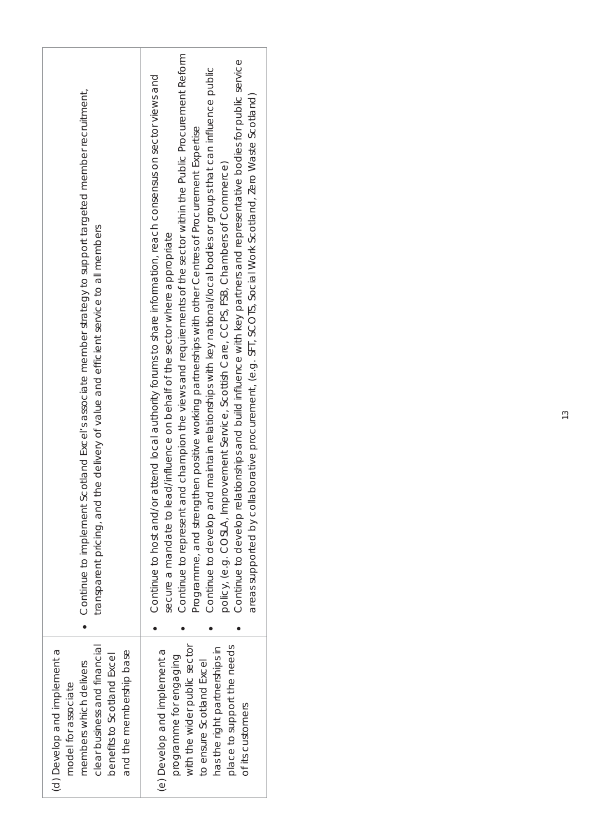| Continue to implement Scotland Excel's associate member strategy to support targeted member recruitment,<br>transparent pricing, and the delivery of value and efficient service to all members | Continue to represent and champion the views and requirements of the sector within the Public Procurement Reform<br>Continue to develop relationships and build influence with key partners and representative bodies for public service<br>Continue to develop and maintain relationships with key national/local bodies or groups that can influence public<br>Continue to host and/or attend local authority forums to share information, reach consensus on sector views and<br>areas supported by collaborative procurement, (e.g. SFT, SCOTS, Social Work Scotland, Zero Waste Scotland)<br>Programme, and strengthen positive working partnerships with other Centres of Procurement Expertise<br>policy, (e.g. COSLA, Improvement Service, Scottish Care, CCPS, FSB, Chambers of Commerce)<br>secure a mandate to lead/influence on behalf of the sector where appropriate |
|-------------------------------------------------------------------------------------------------------------------------------------------------------------------------------------------------|------------------------------------------------------------------------------------------------------------------------------------------------------------------------------------------------------------------------------------------------------------------------------------------------------------------------------------------------------------------------------------------------------------------------------------------------------------------------------------------------------------------------------------------------------------------------------------------------------------------------------------------------------------------------------------------------------------------------------------------------------------------------------------------------------------------------------------------------------------------------------------|
|                                                                                                                                                                                                 |                                                                                                                                                                                                                                                                                                                                                                                                                                                                                                                                                                                                                                                                                                                                                                                                                                                                                    |
| clear business and financial<br>(d) Develop and implement a<br>and the membership base<br>benefits to Scotland Excel<br>members which delivers<br>model for associate                           | with the wider public sector<br>place to support the needs<br>has the right partnerships in<br>(e) Develop and implement a<br>programme for engaging<br>to ensure Scotland Excel<br>of its customers                                                                                                                                                                                                                                                                                                                                                                                                                                                                                                                                                                                                                                                                               |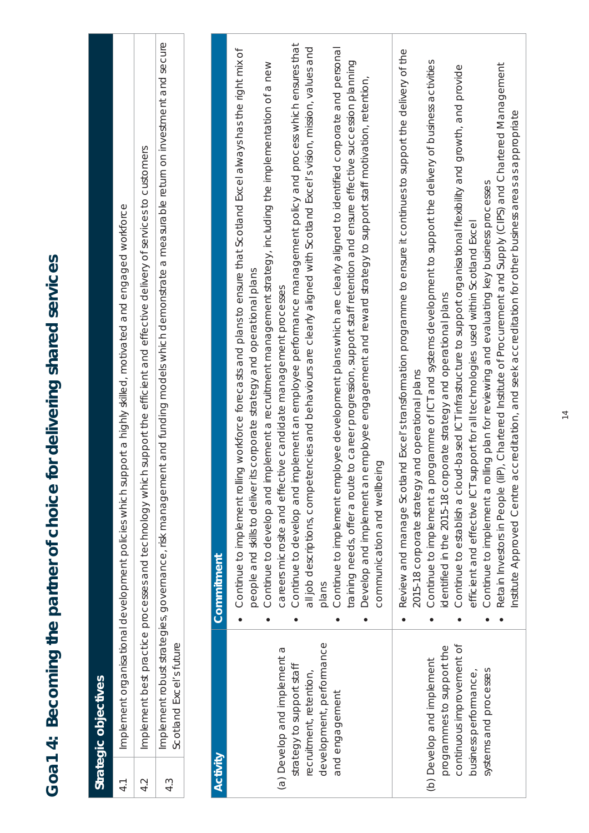**Goa1 4: Becoming the partner of choice for delivering shared services** 

Goa1 4: Becoming the partner of choice for delivering shared services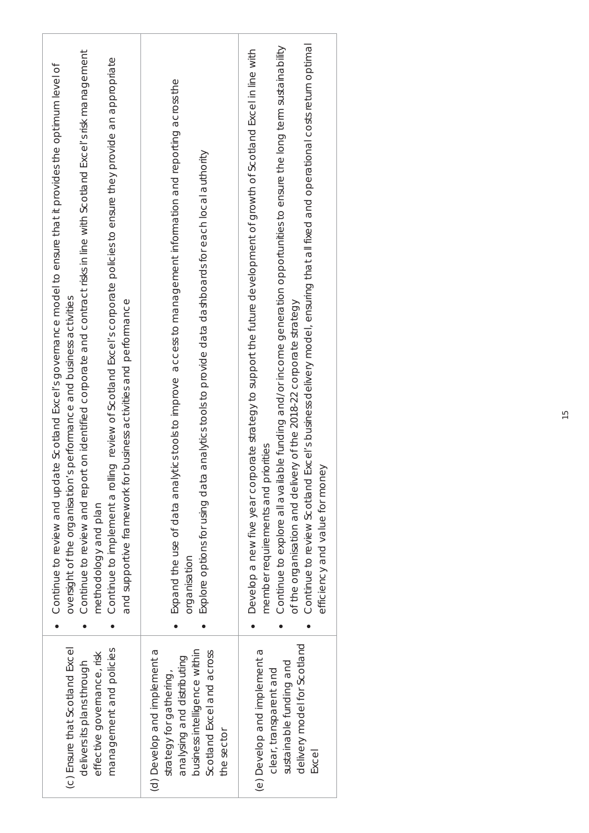| Continue to review and report on identified corporate and contract risks in line with Scotland Excel's risk management<br>Continue to implement a rolling review of Scotland Excel's corporate policies to ensure they provide an appropriate<br>Continue to review and update Scotland Excel's governance model to ensure that it provides the optimum level of<br>s performance and business activities<br>and supportive framework for business activities and performance<br>oversight of the organisation'<br>methodology and plan | Expand the use of data analytics tools to improve access to management information and reporting across the<br>analytics tools to provide data dashboards for each local authority<br>Explore options for using data<br>organisation | Continue to review Scotland Excel's business delivery model, ensuring that all fixed and operational costs return optimal<br>Continue to explore all available funding and/or income generation opportunities to ensure the long term sustainability<br>Develop a new five year corporate strategy to support the future development of growth of Scotland Excel in line with<br>ery of the 2018-22 corporate strategy<br>member requirements and priorities<br>юy<br>of the organisation and deliv<br>efficiency and value for mon |
|-----------------------------------------------------------------------------------------------------------------------------------------------------------------------------------------------------------------------------------------------------------------------------------------------------------------------------------------------------------------------------------------------------------------------------------------------------------------------------------------------------------------------------------------|--------------------------------------------------------------------------------------------------------------------------------------------------------------------------------------------------------------------------------------|-------------------------------------------------------------------------------------------------------------------------------------------------------------------------------------------------------------------------------------------------------------------------------------------------------------------------------------------------------------------------------------------------------------------------------------------------------------------------------------------------------------------------------------|
| (c) Ensure that Scotland Excel<br>management and policies<br>effective governance, risk<br>delivers its plans through                                                                                                                                                                                                                                                                                                                                                                                                                   | (d) Develop and implement a<br>business intelligence within<br>Scotland Excel and across<br>analysing and distributing<br>strategy for gathering,<br>the sector                                                                      | delivery model for Scotland<br>(e) Develop and implement a<br>sustainable funding and<br>clear, transparent and<br>Excel                                                                                                                                                                                                                                                                                                                                                                                                            |